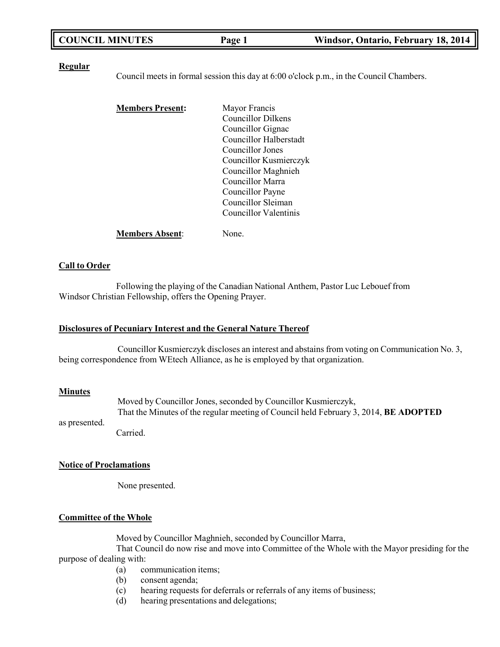| <b>COUNCIL MINUTES</b> | Page 1 | Windsor, Ontario, February 18, 2014 |
|------------------------|--------|-------------------------------------|
|------------------------|--------|-------------------------------------|

#### **Regular**

Council meets in formal session this day at 6:00 o'clock p.m., in the Council Chambers.

| <b>Members Present:</b> | Mayor Francis          |
|-------------------------|------------------------|
|                         | Councillor Dilkens     |
|                         | Councillor Gignac      |
|                         | Councillor Halberstadt |
|                         | Councillor Jones       |
|                         | Councillor Kusmierczyk |
|                         | Councillor Maghnieh    |
|                         | Councillor Marra       |
|                         | Councillor Payne       |
|                         | Councillor Sleiman     |
|                         | Councillor Valentinis  |
|                         |                        |

**Members Absent**: None.

## **Call to Order**

Following the playing of the Canadian National Anthem, Pastor Luc Lebouef from Windsor Christian Fellowship, offers the Opening Prayer.

## **Disclosures of Pecuniary Interest and the General Nature Thereof**

Councillor Kusmierczyk discloses an interest and abstains from voting on Communication No. 3, being correspondence from WEtech Alliance, as he is employed by that organization.

#### **Minutes**

as presented.

Moved by Councillor Jones, seconded by Councillor Kusmierczyk, That the Minutes of the regular meeting of Council held February 3, 2014, **BE ADOPTED**

Carried.

#### **Notice of Proclamations**

None presented.

## **Committee of the Whole**

Moved by Councillor Maghnieh, seconded by Councillor Marra,

That Council do now rise and move into Committee of the Whole with the Mayor presiding for the purpose of dealing with:

- (a) communication items;<br>(b) consent agenda;
- consent agenda;
- (c) hearing requests for deferrals or referrals of any items of business;
- (d) hearing presentations and delegations;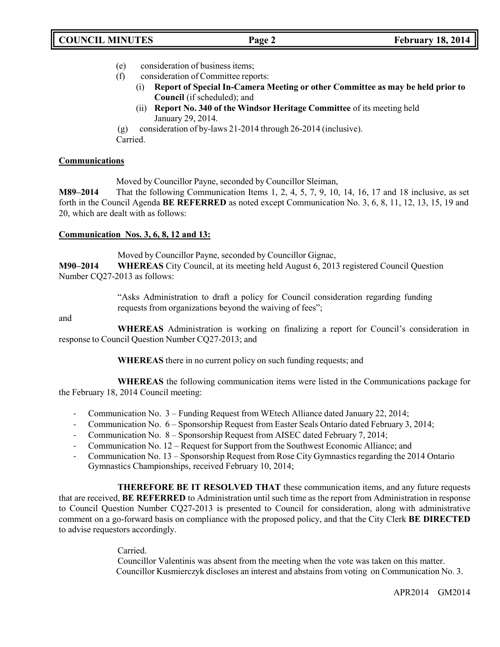- (e) consideration of business items;
- (f) consideration of Committee reports:
	- (i) **Report of Special In-Camera Meeting or other Committee as may be held prior to Council** (if scheduled); and
	- (ii) **Report No. 340 of the Windsor Heritage Committee** of its meeting held January 29, 2014.

(g) consideration of by-laws 21-2014 through 26-2014 (inclusive). Carried.

## **Communications**

Moved by Councillor Payne, seconded by Councillor Sleiman,

**M89–2014** That the following Communication Items 1, 2, 4, 5, 7, 9, 10, 14, 16, 17 and 18 inclusive, as set forth in the Council Agenda **BE REFERRED** as noted except Communication No. 3, 6, 8, 11, 12, 13, 15, 19 and 20, which are dealt with as follows:

## **Communication Nos. 3, 6, 8, 12 and 13:**

Moved by Councillor Payne, seconded by Councillor Gignac,

**M90–2014 WHEREAS** City Council, at its meeting held August 6, 2013 registered Council Question Number CQ27-2013 as follows:

> "Asks Administration to draft a policy for Council consideration regarding funding requests from organizations beyond the waiving of fees";

### and

**WHEREAS** Administration is working on finalizing a report for Council's consideration in response to Council Question Number CQ27-2013; and

**WHEREAS** there in no current policy on such funding requests; and

**WHEREAS** the following communication items were listed in the Communications package for the February 18, 2014 Council meeting:

- Communication No. 3 Funding Request from WEtech Alliance dated January 22, 2014;
- Communication No. 6 Sponsorship Request from Easter Seals Ontario dated February 3, 2014;
- Communication No. 8 Sponsorship Request from AISEC dated February 7, 2014;
- Communication No. 12 Request for Support from the Southwest Economic Alliance; and
- Communication No. 13 Sponsorship Request from Rose City Gymnastics regarding the 2014 Ontario Gymnastics Championships, received February 10, 2014;

**THEREFORE BE IT RESOLVED THAT** these communication items, and any future requests that are received, **BE REFERRED** to Administration until such time as the report from Administration in response to Council Question Number CQ27-2013 is presented to Council for consideration, along with administrative comment on a go-forward basis on compliance with the proposed policy, and that the City Clerk **BE DIRECTED** to advise requestors accordingly.

Carried.

Councillor Valentinis was absent from the meeting when the vote was taken on this matter. Councillor Kusmierczyk discloses an interest and abstains from voting on Communication No. 3.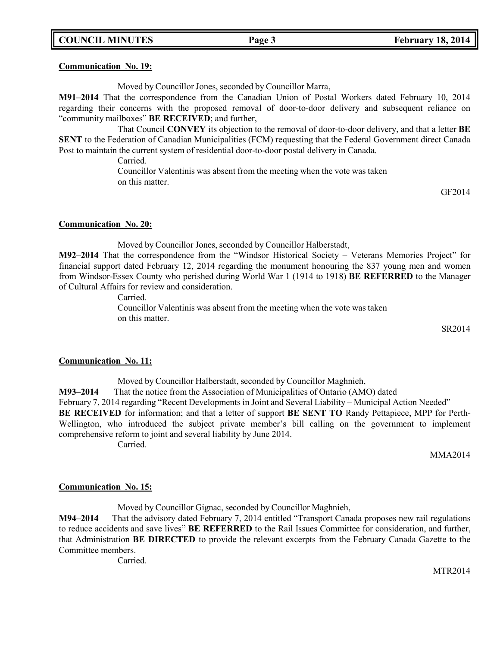#### **Communication No. 19:**

Moved by Councillor Jones, seconded by Councillor Marra,

**M91–2014** That the correspondence from the Canadian Union of Postal Workers dated February 10, 2014 regarding their concerns with the proposed removal of door-to-door delivery and subsequent reliance on "community mailboxes" **BE RECEIVED**; and further,

That Council **CONVEY** its objection to the removal of door-to-door delivery, and that a letter **BE SENT** to the Federation of Canadian Municipalities (FCM) requesting that the Federal Government direct Canada Post to maintain the current system of residential door-to-door postal delivery in Canada.

Carried.

Councillor Valentinis was absent from the meeting when the vote was taken on this matter.

GF2014

#### **Communication No. 20:**

Moved by Councillor Jones, seconded by Councillor Halberstadt,

**M92–2014** That the correspondence from the "Windsor Historical Society – Veterans Memories Project" for financial support dated February 12, 2014 regarding the monument honouring the 837 young men and women from Windsor-Essex County who perished during World War 1 (1914 to 1918) **BE REFERRED** to the Manager of Cultural Affairs for review and consideration.

Carried.

Councillor Valentinis was absent from the meeting when the vote was taken on this matter.

SR2014

### **Communication No. 11:**

Moved by Councillor Halberstadt, seconded by Councillor Maghnieh, **M93–2014** That the notice from the Association of Municipalities of Ontario (AMO) dated February 7, 2014 regarding "Recent Developments in Joint and Several Liability – Municipal Action Needed" **BE RECEIVED** for information; and that a letter of support **BE SENT TO** Randy Pettapiece, MPP for Perth-Wellington, who introduced the subject private member's bill calling on the government to implement comprehensive reform to joint and several liability by June 2014.

Carried.

MMA2014

### **Communication No. 15:**

Moved by Councillor Gignac, seconded by Councillor Maghnieh,

**M94–2014** That the advisory dated February 7, 2014 entitled "Transport Canada proposes new rail regulations to reduce accidents and save lives" **BE REFERRED** to the Rail Issues Committee for consideration, and further, that Administration **BE DIRECTED** to provide the relevant excerpts from the February Canada Gazette to the Committee members.

Carried.

MTR2014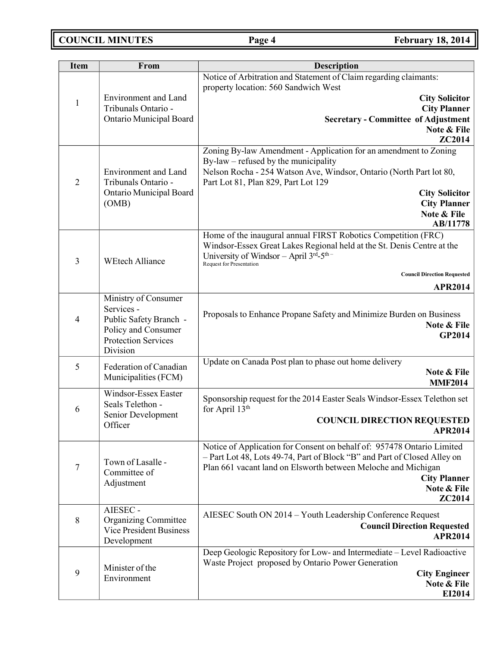| <b>Item</b>    | From                                                                                                                          | <b>Description</b>                                                                                                                                                                                                                                                  |  |
|----------------|-------------------------------------------------------------------------------------------------------------------------------|---------------------------------------------------------------------------------------------------------------------------------------------------------------------------------------------------------------------------------------------------------------------|--|
|                |                                                                                                                               | Notice of Arbitration and Statement of Claim regarding claimants:<br>property location: 560 Sandwich West                                                                                                                                                           |  |
| $\mathbf{1}$   | <b>Environment</b> and Land<br>Tribunals Ontario -<br>Ontario Municipal Board                                                 | <b>City Solicitor</b><br><b>City Planner</b><br><b>Secretary - Committee of Adjustment</b><br>Note & File                                                                                                                                                           |  |
|                |                                                                                                                               | ZC2014<br>Zoning By-law Amendment - Application for an amendment to Zoning                                                                                                                                                                                          |  |
| $\overline{2}$ | <b>Environment</b> and Land<br>Tribunals Ontario -<br>Ontario Municipal Board<br>(OMB)                                        | By-law – refused by the municipality<br>Nelson Rocha - 254 Watson Ave, Windsor, Ontario (North Part lot 80,<br>Part Lot 81, Plan 829, Part Lot 129<br><b>City Solicitor</b><br><b>City Planner</b><br>Note & File<br>AB/11778                                       |  |
| 3              | <b>WEtech Alliance</b>                                                                                                        | Home of the inaugural annual FIRST Robotics Competition (FRC)<br>Windsor-Essex Great Lakes Regional held at the St. Denis Centre at the<br>University of Windsor - April 3rd-5th-<br>Request for Presentation<br><b>Council Direction Requested</b>                 |  |
|                |                                                                                                                               | <b>APR2014</b>                                                                                                                                                                                                                                                      |  |
| $\overline{4}$ | Ministry of Consumer<br>Services -<br>Public Safety Branch -<br>Policy and Consumer<br><b>Protection Services</b><br>Division | Proposals to Enhance Propane Safety and Minimize Burden on Business<br>Note & File<br><b>GP2014</b>                                                                                                                                                                 |  |
| 5              | Federation of Canadian<br>Municipalities (FCM)                                                                                | Update on Canada Post plan to phase out home delivery<br>Note & File<br><b>MMF2014</b>                                                                                                                                                                              |  |
| 6              | Windsor-Essex Easter<br>Seals Telethon -<br>Senior Development<br>Officer                                                     | Sponsorship request for the 2014 Easter Seals Windsor-Essex Telethon set<br>for April 13 <sup>th</sup><br><b>COUNCIL DIRECTION REQUESTED</b><br><b>APR2014</b>                                                                                                      |  |
| 7              | Town of Lasalle -<br>Committee of<br>Adjustment                                                                               | Notice of Application for Consent on behalf of: 957478 Ontario Limited<br>- Part Lot 48, Lots 49-74, Part of Block "B" and Part of Closed Alley on<br>Plan 661 vacant land on Elsworth between Meloche and Michigan<br><b>City Planner</b><br>Note & File<br>ZC2014 |  |
| $\,8\,$        | AIESEC -<br><b>Organizing Committee</b><br><b>Vice President Business</b><br>Development                                      | AIESEC South ON 2014 - Youth Leadership Conference Request<br><b>Council Direction Requested</b><br><b>APR2014</b>                                                                                                                                                  |  |
| 9              | Minister of the<br>Environment                                                                                                | Deep Geologic Repository for Low- and Intermediate - Level Radioactive<br>Waste Project proposed by Ontario Power Generation<br><b>City Engineer</b><br>Note & File<br>EI2014                                                                                       |  |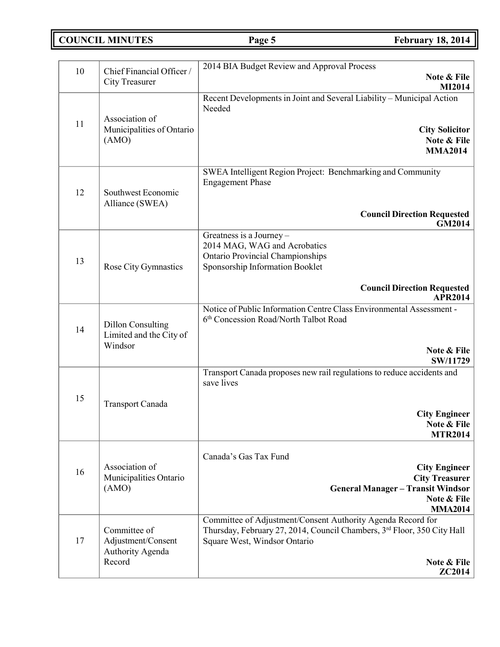| <b>COUNCIL MINUTES</b> |  |
|------------------------|--|
|------------------------|--|

**COUNCIL COUNCIL COUNCIL Page 5 February** 18, 2014

| 10 | Chief Financial Officer /                                        | 2014 BIA Budget Review and Approval Process                                                                                                                                                            |  |
|----|------------------------------------------------------------------|--------------------------------------------------------------------------------------------------------------------------------------------------------------------------------------------------------|--|
|    | <b>City Treasurer</b>                                            | Note & File<br>MI2014                                                                                                                                                                                  |  |
| 11 | Association of<br>Municipalities of Ontario<br>(AMO)             | Recent Developments in Joint and Several Liability - Municipal Action<br>Needed<br><b>City Solicitor</b><br>Note & File<br><b>MMA2014</b>                                                              |  |
| 12 | Southwest Economic<br>Alliance (SWEA)                            | SWEA Intelligent Region Project: Benchmarking and Community<br><b>Engagement Phase</b><br><b>Council Direction Requested</b><br>GM2014                                                                 |  |
| 13 | Rose City Gymnastics                                             | Greatness is a Journey -<br>2014 MAG, WAG and Acrobatics<br><b>Ontario Provincial Championships</b><br>Sponsorship Information Booklet<br><b>Council Direction Requested</b><br><b>APR2014</b>         |  |
| 14 | <b>Dillon Consulting</b><br>Limited and the City of<br>Windsor   | Notice of Public Information Centre Class Environmental Assessment -<br>6 <sup>th</sup> Concession Road/North Talbot Road<br>Note & File<br>SW/11729                                                   |  |
| 15 | Transport Canada                                                 | Transport Canada proposes new rail regulations to reduce accidents and<br>save lives<br><b>City Engineer</b><br>Note & File<br><b>MTR2014</b>                                                          |  |
| 16 | Association of<br>Municipalities Ontario<br>(AMO)                | Canada's Gas Tax Fund<br><b>City Engineer</b><br><b>City Treasurer</b><br><b>General Manager - Transit Windsor</b><br>Note & File<br><b>MMA2014</b>                                                    |  |
| 17 | Committee of<br>Adjustment/Consent<br>Authority Agenda<br>Record | Committee of Adjustment/Consent Authority Agenda Record for<br>Thursday, February 27, 2014, Council Chambers, 3rd Floor, 350 City Hall<br>Square West, Windsor Ontario<br>Note & File<br><b>ZC2014</b> |  |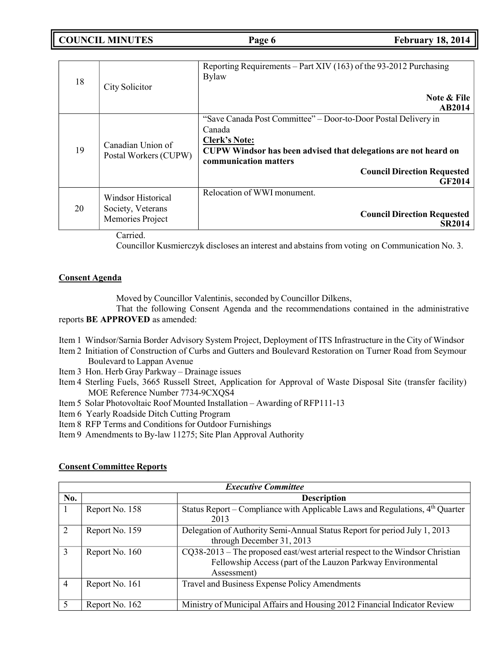**COUNCIL MINUTES Page 6 February 18, 2014**

| 18 | City Solicitor                                              | Reporting Requirements – Part XIV (163) of the 93-2012 Purchasing<br><b>Bylaw</b><br>Note & File<br>AB2014                                                                                                                                          |
|----|-------------------------------------------------------------|-----------------------------------------------------------------------------------------------------------------------------------------------------------------------------------------------------------------------------------------------------|
| 19 | Canadian Union of<br>Postal Workers (CUPW)                  | "Save Canada Post Committee" – Door-to-Door Postal Delivery in<br>Canada<br><b>Clerk's Note:</b><br>CUPW Windsor has been advised that delegations are not heard on<br>communication matters<br><b>Council Direction Requested</b><br><b>GF2014</b> |
| 20 | Windsor Historical<br>Society, Veterans<br>Memories Project | Relocation of WWI monument.<br><b>Council Direction Requested</b><br><b>SR2014</b>                                                                                                                                                                  |

Carried.

Councillor Kusmierczyk discloses an interest and abstains from voting on Communication No. 3.

## **Consent Agenda**

Moved by Councillor Valentinis, seconded by Councillor Dilkens,

That the following Consent Agenda and the recommendations contained in the administrative reports **BE APPROVED** as amended:

- Item 1 Windsor/Sarnia Border Advisory System Project, Deployment of ITS Infrastructure in the City of Windsor
- Item 2 Initiation of Construction of Curbs and Gutters and Boulevard Restoration on Turner Road from Seymour Boulevard to Lappan Avenue
- Item 3 Hon. Herb Gray Parkway Drainage issues
- Item 4 Sterling Fuels, 3665 Russell Street, Application for Approval of Waste Disposal Site (transfer facility) MOE Reference Number 7734-9CXQS4
- Item 5 Solar Photovoltaic Roof Mounted Installation Awarding of RFP111-13
- Item 6 Yearly Roadside Ditch Cutting Program
- Item 8 RFP Terms and Conditions for Outdoor Furnishings
- Item 9 Amendments to By-law 11275; Site Plan Approval Authority

| <b>Executive Committee</b>  |                |                                                                                                                                                              |  |  |
|-----------------------------|----------------|--------------------------------------------------------------------------------------------------------------------------------------------------------------|--|--|
| No.                         |                | <b>Description</b>                                                                                                                                           |  |  |
|                             | Report No. 158 | Status Report – Compliance with Applicable Laws and Regulations, $4th$ Quarter<br>2013                                                                       |  |  |
| $\mathcal{D}_{\mathcal{L}}$ | Report No. 159 | Delegation of Authority Semi-Annual Status Report for period July 1, 2013<br>through December 31, 2013                                                       |  |  |
| 3                           | Report No. 160 | $CQ38-2013$ – The proposed east/west arterial respect to the Windsor Christian<br>Fellowship Access (part of the Lauzon Parkway Environmental<br>Assessment) |  |  |
| $\overline{4}$              | Report No. 161 | Travel and Business Expense Policy Amendments                                                                                                                |  |  |
|                             | Report No. 162 | Ministry of Municipal Affairs and Housing 2012 Financial Indicator Review                                                                                    |  |  |

## **Consent Committee Reports**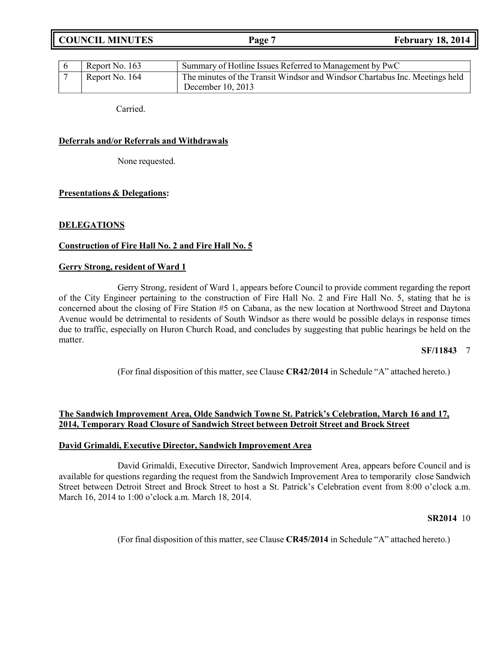**COUNCIL MINUTES Page 7 February 18, 2014**

| Report No. 163 | Summary of Hotline Issues Referred to Management by PwC                                          |
|----------------|--------------------------------------------------------------------------------------------------|
| Report No. 164 | The minutes of the Transit Windsor and Windsor Chartabus Inc. Meetings held<br>December 10, 2013 |

Carried.

## **Deferrals and/or Referrals and Withdrawals**

None requested.

## **Presentations & Delegations:**

## **DELEGATIONS**

## **Construction of Fire Hall No. 2 and Fire Hall No. 5**

### **Gerry Strong, resident of Ward 1**

Gerry Strong, resident of Ward 1, appears before Council to provide comment regarding the report of the City Engineer pertaining to the construction of Fire Hall No. 2 and Fire Hall No. 5, stating that he is concerned about the closing of Fire Station #5 on Cabana, as the new location at Northwood Street and Daytona Avenue would be detrimental to residents of South Windsor as there would be possible delays in response times due to traffic, especially on Huron Church Road, and concludes by suggesting that public hearings be held on the matter.

### **SF/11843** 7

(For final disposition of this matter, see Clause **CR42/2014** in Schedule "A" attached hereto.)

## **The Sandwich Improvement Area, Olde Sandwich Towne St. Patrick's Celebration, March 16 and 17, 2014, Temporary Road Closure of Sandwich Street between Detroit Street and Brock Street**

### **David Grimaldi, Executive Director, Sandwich Improvement Area**

David Grimaldi, Executive Director, Sandwich Improvement Area, appears before Council and is available for questions regarding the request from the Sandwich Improvement Area to temporarily close Sandwich Street between Detroit Street and Brock Street to host a St. Patrick's Celebration event from 8:00 o'clock a.m. March 16, 2014 to 1:00 o'clock a.m. March 18, 2014.

#### **SR2014** 10

(For final disposition of this matter, see Clause **CR45/2014** in Schedule "A" attached hereto.)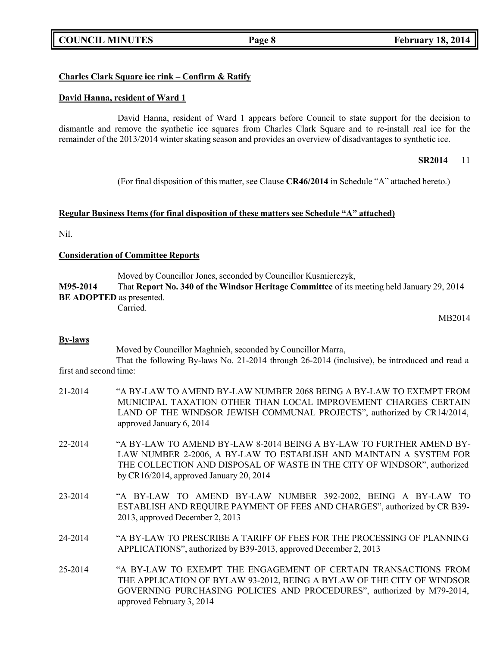## **Charles Clark Square ice rink – Confirm & Ratify**

## **David Hanna, resident of Ward 1**

David Hanna, resident of Ward 1 appears before Council to state support for the decision to dismantle and remove the synthetic ice squares from Charles Clark Square and to re-install real ice for the remainder of the 2013/2014 winter skating season and provides an overview of disadvantages to synthetic ice.

## **SR2014** 11

(For final disposition of this matter, see Clause **CR46/2014** in Schedule "A" attached hereto.)

## **Regular Business Items (for final disposition of these matters see Schedule "A" attached)**

Nil.

## **Consideration of Committee Reports**

Moved by Councillor Jones, seconded by Councillor Kusmierczyk,

**M95-2014** That **Report No. 340 of the Windsor Heritage Committee** of its meeting held January 29, 2014 **BE ADOPTED** as presented.

Carried.

MB2014

## **By-laws**

Moved by Councillor Maghnieh, seconded by Councillor Marra,

That the following By-laws No. 21-2014 through 26-2014 (inclusive), be introduced and read a first and second time:

| 21-2014 | "A BY-LAW TO AMEND BY-LAW NUMBER 2068 BEING A BY-LAW TO EXEMPT FROM<br>MUNICIPAL TAXATION OTHER THAN LOCAL IMPROVEMENT CHARGES CERTAIN<br>LAND OF THE WINDSOR JEWISH COMMUNAL PROJECTS", authorized by CR14/2014,<br>approved January 6, 2014                     |
|---------|-------------------------------------------------------------------------------------------------------------------------------------------------------------------------------------------------------------------------------------------------------------------|
| 22-2014 | "A BY-LAW TO AMEND BY-LAW 8-2014 BEING A BY-LAW TO FURTHER AMEND BY-<br>LAW NUMBER 2-2006, A BY-LAW TO ESTABLISH AND MAINTAIN A SYSTEM FOR<br>THE COLLECTION AND DISPOSAL OF WASTE IN THE CITY OF WINDSOR", authorized<br>by CR16/2014, approved January 20, 2014 |
| 23-2014 | "A BY-LAW TO AMEND BY-LAW NUMBER 392-2002, BEING A BY-LAW TO<br>ESTABLISH AND REQUIRE PAYMENT OF FEES AND CHARGES", authorized by CR B39-<br>2013, approved December 2, 2013                                                                                      |
| 24-2014 | "A BY-LAW TO PRESCRIBE A TARIFF OF FEES FOR THE PROCESSING OF PLANNING<br>APPLICATIONS", authorized by B39-2013, approved December 2, 2013                                                                                                                        |
| 25-2014 | "A BY-LAW TO EXEMPT THE ENGAGEMENT OF CERTAIN TRANSACTIONS FROM<br>THE APPLICATION OF BYLAW 93-2012, BEING A BYLAW OF THE CITY OF WINDSOR<br>GOVERNING PURCHASING POLICIES AND PROCEDURES", authorized by M79-2014,<br>approved February 3, 2014                  |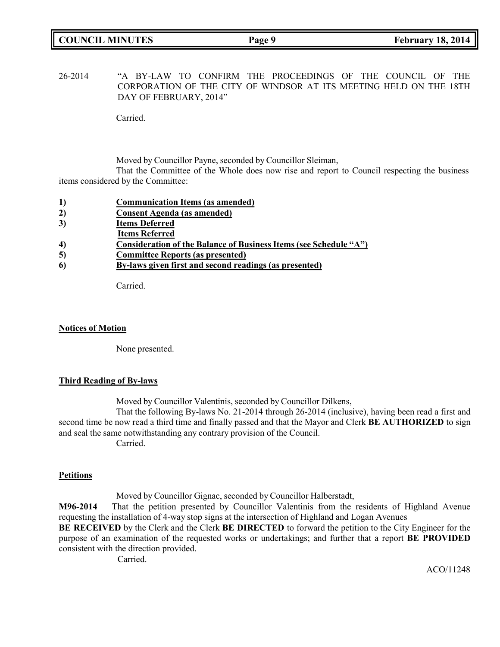26-2014 "A BY-LAW TO CONFIRM THE PROCEEDINGS OF THE COUNCIL OF THE CORPORATION OF THE CITY OF WINDSOR AT ITS MEETING HELD ON THE 18TH DAY OF FEBRUARY, 2014"

Carried.

Moved by Councillor Payne, seconded by Councillor Sleiman,

That the Committee of the Whole does now rise and report to Council respecting the business items considered by the Committee:

- **1) Communication Items (as amended)**
- **2) Consent Agenda (as amended)**
- **3) Items Deferred**
- **Items Referred**
- **4) Consideration of the Balance of Business Items (see Schedule "A")**
- **5) Committee Reports (as presented)**
- **6) By-laws given first and second readings (as presented)**

Carried.

## **Notices of Motion**

None presented.

## **Third Reading of By-laws**

Moved by Councillor Valentinis, seconded by Councillor Dilkens,

That the following By-laws No. 21-2014 through 26-2014 (inclusive), having been read a first and second time be now read a third time and finally passed and that the Mayor and Clerk **BE AUTHORIZED** to sign and seal the same notwithstanding any contrary provision of the Council. Carried.

## **Petitions**

Moved by Councillor Gignac, seconded by Councillor Halberstadt,

**M96-2014** That the petition presented by Councillor Valentinis from the residents of Highland Avenue requesting the installation of 4-way stop signs at the intersection of Highland and Logan Avenues

**BE RECEIVED** by the Clerk and the Clerk **BE DIRECTED** to forward the petition to the City Engineer for the purpose of an examination of the requested works or undertakings; and further that a report **BE PROVIDED** consistent with the direction provided.

Carried.

ACO/11248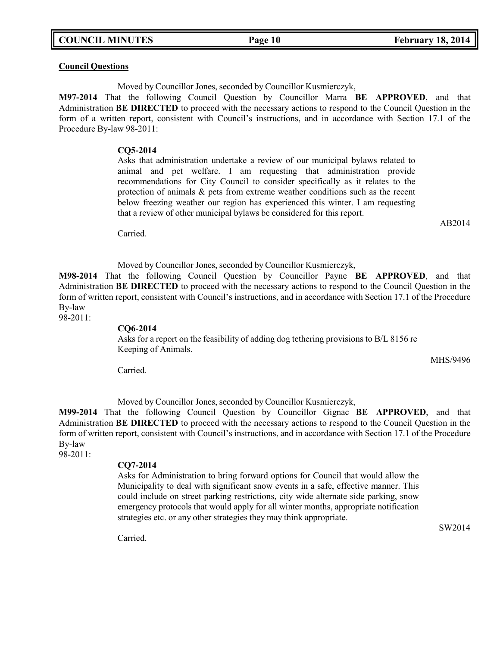**COUNCIL MINUTES Page 10 February 18, 2014**

## **Council Questions**

Moved by Councillor Jones, seconded by Councillor Kusmierczyk,

**M97-2014** That the following Council Question by Councillor Marra **BE APPROVED**, and that Administration **BE DIRECTED** to proceed with the necessary actions to respond to the Council Question in the form of a written report, consistent with Council's instructions, and in accordance with Section 17.1 of the Procedure By-law 98-2011:

#### **CQ5-2014**

Asks that administration undertake a review of our municipal bylaws related to animal and pet welfare. I am requesting that administration provide recommendations for City Council to consider specifically as it relates to the protection of animals & pets from extreme weather conditions such as the recent below freezing weather our region has experienced this winter. I am requesting that a review of other municipal bylaws be considered for this report.

Carried.

Moved by Councillor Jones, seconded by Councillor Kusmierczyk,

**M98-2014** That the following Council Question by Councillor Payne **BE APPROVED**, and that Administration **BE DIRECTED** to proceed with the necessary actions to respond to the Council Question in the form of written report, consistent with Council's instructions, and in accordance with Section 17.1 of the Procedure By-law

98-2011:

### **CQ6-2014**

Asks for a report on the feasibility of adding dog tethering provisions to B/L 8156 re Keeping of Animals.

Carried.

Moved by Councillor Jones, seconded by Councillor Kusmierczyk,

**M99-2014** That the following Council Question by Councillor Gignac **BE APPROVED**, and that Administration **BE DIRECTED** to proceed with the necessary actions to respond to the Council Question in the form of written report, consistent with Council's instructions, and in accordance with Section 17.1 of the Procedure By-law

98-2011:

#### **CQ7-2014**

Asks for Administration to bring forward options for Council that would allow the Municipality to deal with significant snow events in a safe, effective manner. This could include on street parking restrictions, city wide alternate side parking, snow emergency protocols that would apply for all winter months, appropriate notification strategies etc. or any other strategies they may think appropriate.

SW2014

Carried.

AB2014

MHS/9496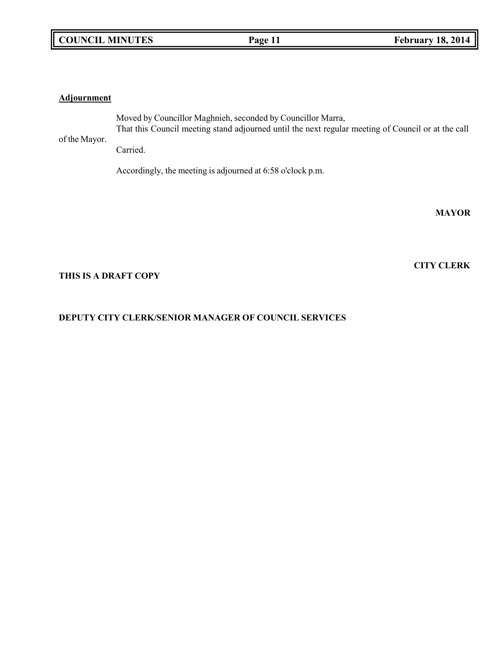## **COUNCIL MINUTES Page 11 February 18, 2014**

## **Adjournment**

of the Mayor. Moved by Councillor Maghnieh, seconded by Councillor Marra, That this Council meeting stand adjourned until the next regular meeting of Council or at the call Carried.

Accordingly, the meeting is adjourned at 6:58 o'clock p.m.

**MAYOR**

**CITY CLERK**

## **THIS IS A DRAFT COPY**

## **DEPUTY CITY CLERK/SENIOR MANAGER OF COUNCIL SERVICES**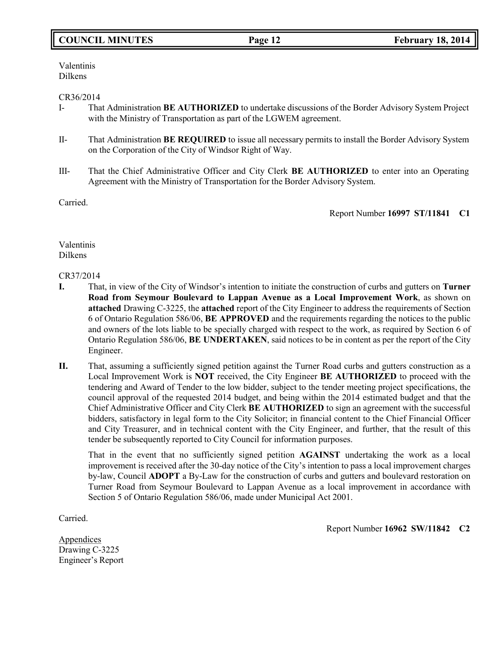# **COUNCIL MINUTES Page 12 February 18, 2014**

Valentinis Dilkens

## CR36/2014

- I- That Administration **BE AUTHORIZED** to undertake discussions of the Border Advisory System Project with the Ministry of Transportation as part of the LGWEM agreement.
- II- That Administration **BE REQUIRED** to issue all necessary permits to install the Border Advisory System on the Corporation of the City of Windsor Right of Way.
- III- That the Chief Administrative Officer and City Clerk **BE AUTHORIZED** to enter into an Operating Agreement with the Ministry of Transportation for the Border Advisory System.

Carried.

Report Number **16997 ST/11841 C1**

Valentinis Dilkens

## CR37/2014

- **I.** That, in view of the City of Windsor's intention to initiate the construction of curbs and gutters on **Turner Road from Seymour Boulevard to Lappan Avenue as a Local Improvement Work**, as shown on **attached** Drawing C-3225, the **attached** report of the City Engineer to address the requirements of Section 6 of Ontario Regulation 586/06, **BE APPROVED** and the requirements regarding the notices to the public and owners of the lots liable to be specially charged with respect to the work, as required by Section 6 of Ontario Regulation 586/06, **BE UNDERTAKEN**, said notices to be in content as per the report of the City Engineer.
- **II.** That, assuming a sufficiently signed petition against the Turner Road curbs and gutters construction as a Local Improvement Work is **NOT** received, the City Engineer **BE AUTHORIZED** to proceed with the tendering and Award of Tender to the low bidder, subject to the tender meeting project specifications, the council approval of the requested 2014 budget, and being within the 2014 estimated budget and that the Chief Administrative Officer and City Clerk **BE AUTHORIZED** to sign an agreement with the successful bidders, satisfactory in legal form to the City Solicitor; in financial content to the Chief Financial Officer and City Treasurer, and in technical content with the City Engineer, and further, that the result of this tender be subsequently reported to City Council for information purposes.

That in the event that no sufficiently signed petition **AGAINST** undertaking the work as a local improvement is received after the 30-day notice of the City's intention to pass a local improvement charges by-law, Council **ADOPT** a By-Law for the construction of curbs and gutters and boulevard restoration on Turner Road from Seymour Boulevard to Lappan Avenue as a local improvement in accordance with Section 5 of Ontario Regulation 586/06, made under Municipal Act 2001.

Carried.

Report Number **16962 SW/11842 C2**

**Appendices** Drawing C-3225 Engineer's Report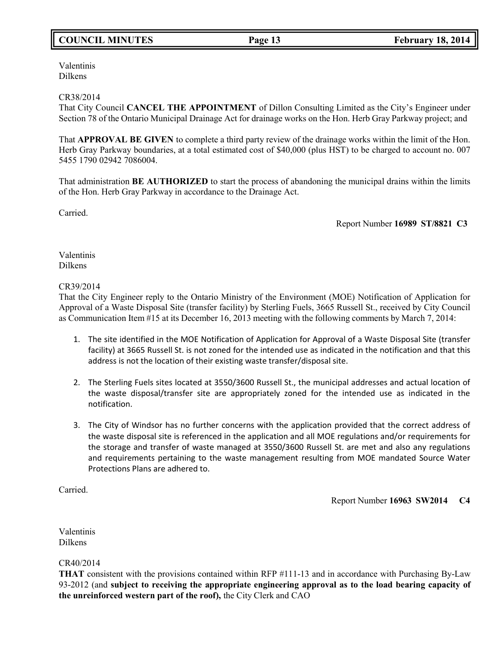# **COUNCIL MINUTES Page 13 February 18, 2014**

Valentinis Dilkens

## CR38/2014

That City Council **CANCEL THE APPOINTMENT** of Dillon Consulting Limited as the City's Engineer under Section 78 of the Ontario Municipal Drainage Act for drainage works on the Hon. Herb Gray Parkway project; and

That **APPROVAL BE GIVEN** to complete a third party review of the drainage works within the limit of the Hon. Herb Gray Parkway boundaries, at a total estimated cost of \$40,000 (plus HST) to be charged to account no. 007 5455 1790 02942 7086004.

That administration **BE AUTHORIZED** to start the process of abandoning the municipal drains within the limits of the Hon. Herb Gray Parkway in accordance to the Drainage Act.

Carried.

Report Number **16989 ST/8821 C3**

Valentinis Dilkens

## CR39/2014

That the City Engineer reply to the Ontario Ministry of the Environment (MOE) Notification of Application for Approval of a Waste Disposal Site (transfer facility) by Sterling Fuels, 3665 Russell St., received by City Council as Communication Item #15 at its December 16, 2013 meeting with the following comments by March 7, 2014:

- 1. The site identified in the MOE Notification of Application for Approval of a Waste Disposal Site (transfer facility) at 3665 Russell St. is not zoned for the intended use as indicated in the notification and that this address is not the location of their existing waste transfer/disposal site.
- 2. The Sterling Fuels sites located at 3550/3600 Russell St., the municipal addresses and actual location of the waste disposal/transfer site are appropriately zoned for the intended use as indicated in the notification.
- 3. The City of Windsor has no further concerns with the application provided that the correct address of the waste disposal site is referenced in the application and all MOE regulations and/or requirements for the storage and transfer of waste managed at 3550/3600 Russell St. are met and also any regulations and requirements pertaining to the waste management resulting from MOE mandated Source Water Protections Plans are adhered to.

Carried.

Report Number **16963 SW2014 C4**

Valentinis Dilkens

CR40/2014

**THAT** consistent with the provisions contained within RFP #111-13 and in accordance with Purchasing By-Law 93-2012 (and **subject to receiving the appropriate engineering approval as to the load bearing capacity of the unreinforced western part of the roof),** the City Clerk and CAO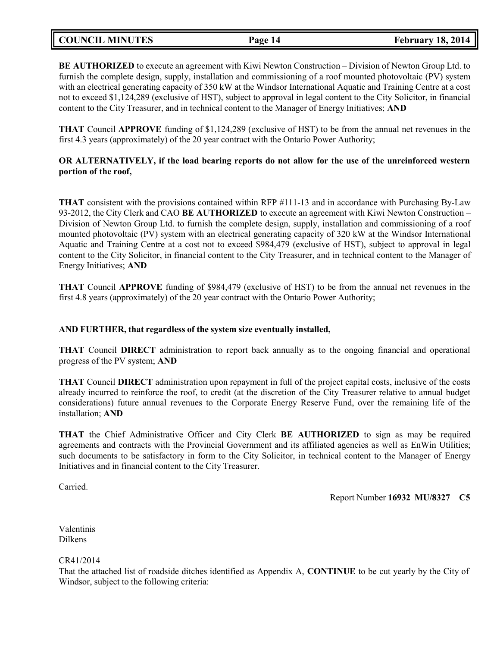| <b>COUNCIL MINUTES</b> | Page 14 | <b>February 18, 2014</b> |  |
|------------------------|---------|--------------------------|--|
|                        |         |                          |  |

**BE AUTHORIZED** to execute an agreement with Kiwi Newton Construction – Division of Newton Group Ltd. to furnish the complete design, supply, installation and commissioning of a roof mounted photovoltaic (PV) system with an electrical generating capacity of 350 kW at the Windsor International Aquatic and Training Centre at a cost not to exceed \$1,124,289 (exclusive of HST), subject to approval in legal content to the City Solicitor, in financial content to the City Treasurer, and in technical content to the Manager of Energy Initiatives; **AND**

**THAT** Council **APPROVE** funding of \$1,124,289 (exclusive of HST) to be from the annual net revenues in the first 4.3 years (approximately) of the 20 year contract with the Ontario Power Authority;

## **OR ALTERNATIVELY, if the load bearing reports do not allow for the use of the unreinforced western portion of the roof,**

**THAT** consistent with the provisions contained within RFP #111-13 and in accordance with Purchasing By-Law 93-2012, the City Clerk and CAO **BE AUTHORIZED** to execute an agreement with Kiwi Newton Construction – Division of Newton Group Ltd. to furnish the complete design, supply, installation and commissioning of a roof mounted photovoltaic (PV) system with an electrical generating capacity of 320 kW at the Windsor International Aquatic and Training Centre at a cost not to exceed \$984,479 (exclusive of HST), subject to approval in legal content to the City Solicitor, in financial content to the City Treasurer, and in technical content to the Manager of Energy Initiatives; **AND**

**THAT** Council **APPROVE** funding of \$984,479 (exclusive of HST) to be from the annual net revenues in the first 4.8 years (approximately) of the 20 year contract with the Ontario Power Authority;

## **AND FURTHER, that regardless of the system size eventually installed,**

**THAT** Council **DIRECT** administration to report back annually as to the ongoing financial and operational progress of the PV system; **AND**

**THAT** Council **DIRECT** administration upon repayment in full of the project capital costs, inclusive of the costs already incurred to reinforce the roof, to credit (at the discretion of the City Treasurer relative to annual budget considerations) future annual revenues to the Corporate Energy Reserve Fund, over the remaining life of the installation; **AND**

**THAT** the Chief Administrative Officer and City Clerk **BE AUTHORIZED** to sign as may be required agreements and contracts with the Provincial Government and its affiliated agencies as well as EnWin Utilities; such documents to be satisfactory in form to the City Solicitor, in technical content to the Manager of Energy Initiatives and in financial content to the City Treasurer.

Carried.

Report Number **16932 MU/8327 C5**

Valentinis Dilkens

CR41/2014

That the attached list of roadside ditches identified as Appendix A, **CONTINUE** to be cut yearly by the City of Windsor, subject to the following criteria: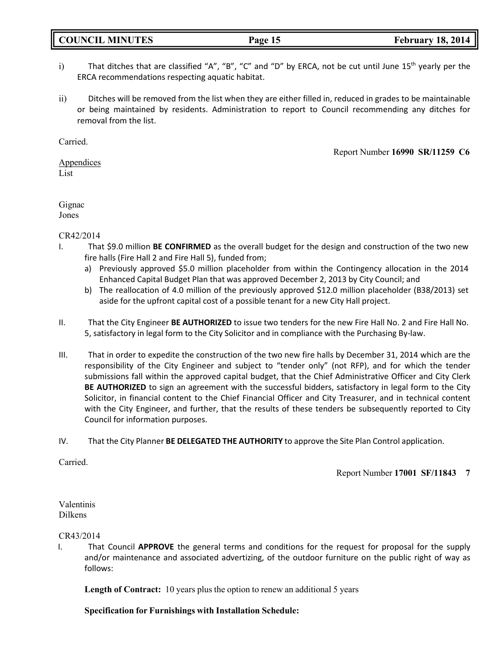## **COUNCIL MINUTES Page 15 February 18, 2014**

- i) That ditches that are classified "A", "B", "C" and "D" by ERCA, not be cut until June  $15<sup>th</sup>$  yearly per the ERCA recommendations respecting aquatic habitat.
- ii) Ditches will be removed from the list when they are either filled in, reduced in grades to be maintainable or being maintained by residents. Administration to report to Council recommending any ditches for removal from the list.

Carried.

Report Number **16990 SR/11259 C6**

**Appendices** List

Gignac Jones

## CR42/2014

- I. That \$9.0 million **BE CONFIRMED** as the overall budget for the design and construction of the two new fire halls (Fire Hall 2 and Fire Hall 5), funded from;
	- a) Previously approved \$5.0 million placeholder from within the Contingency allocation in the 2014 Enhanced Capital Budget Plan that was approved December 2, 2013 by City Council; and
	- b) The reallocation of 4.0 million of the previously approved \$12.0 million placeholder (B38/2013) set aside for the upfront capital cost of a possible tenant for a new City Hall project.
- II. That the City Engineer **BE AUTHORIZED** to issue two tenders for the new Fire Hall No. 2 and Fire Hall No. 5, satisfactory in legal form to the City Solicitor and in compliance with the Purchasing By-law.
- III. That in order to expedite the construction of the two new fire halls by December 31, 2014 which are the responsibility of the City Engineer and subject to "tender only" (not RFP), and for which the tender submissions fall within the approved capital budget, that the Chief Administrative Officer and City Clerk **BE AUTHORIZED** to sign an agreement with the successful bidders, satisfactory in legal form to the City Solicitor, in financial content to the Chief Financial Officer and City Treasurer, and in technical content with the City Engineer, and further, that the results of these tenders be subsequently reported to City Council for information purposes.
- IV. That the City Planner **BE DELEGATED THE AUTHORITY** to approve the Site Plan Control application.

Carried.

Report Number **17001 SF/11843 7**

Valentinis Dilkens

## CR43/2014

I. That Council **APPROVE** the general terms and conditions for the request for proposal for the supply and/or maintenance and associated advertizing, of the outdoor furniture on the public right of way as follows:

**Length of Contract:** 10 years plus the option to renew an additional 5 years

**Specification for Furnishings with Installation Schedule:**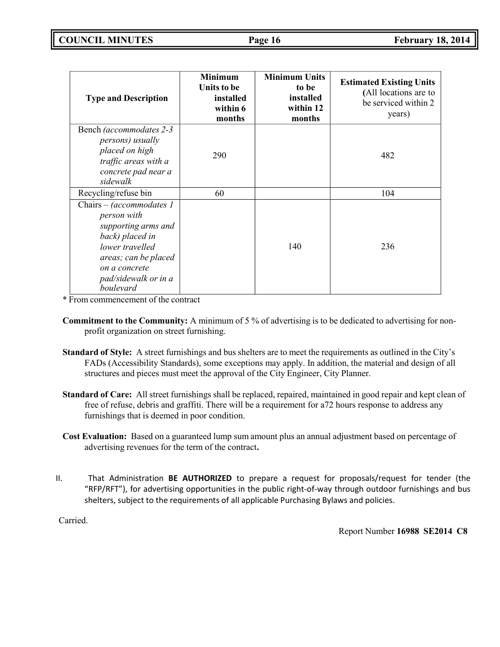| <b>Type and Description</b>                                                                                                                                                        | <b>Minimum</b><br>Units to be<br>installed<br>within 6<br>months | <b>Minimum Units</b><br>to be<br>installed<br>within 12<br>months | <b>Estimated Existing Units</b><br>(All locations are to<br>be serviced within 2<br>years) |
|------------------------------------------------------------------------------------------------------------------------------------------------------------------------------------|------------------------------------------------------------------|-------------------------------------------------------------------|--------------------------------------------------------------------------------------------|
| Bench (accommodates 2-3)<br><i>persons</i> ) <i>usually</i><br>placed on high<br>traffic areas with a<br>concrete pad near a<br>sidewalk                                           | 290                                                              |                                                                   | 482                                                                                        |
| Recycling/refuse bin                                                                                                                                                               | 60                                                               |                                                                   | 104                                                                                        |
| Chairs – (accommodates 1<br>person with<br>supporting arms and<br>back) placed in<br>lower travelled<br>areas; can be placed<br>on a concrete<br>pad/sidewalk or in a<br>boulevard |                                                                  | 140                                                               | 236                                                                                        |

\* From commencement of the contract

- **Commitment to the Community:** A minimum of 5 % of advertising is to be dedicated to advertising for nonprofit organization on street furnishing.
- **Standard of Style:** A street furnishings and bus shelters are to meet the requirements as outlined in the City's FADs (Accessibility Standards), some exceptions may apply. In addition, the material and design of all structures and pieces must meet the approval of the City Engineer, City Planner.
- **Standard of Care:** All street furnishings shall be replaced, repaired, maintained in good repair and kept clean of free of refuse, debris and graffiti. There will be a requirement for a72 hours response to address any furnishings that is deemed in poor condition.
- **Cost Evaluation:** Based on a guaranteed lump sum amount plus an annual adjustment based on percentage of advertising revenues for the term of the contract**.**
- II. That Administration **BE AUTHORIZED** to prepare a request for proposals/request for tender (the "RFP/RFT"), for advertising opportunities in the public right-of-way through outdoor furnishings and bus shelters, subject to the requirements of all applicable Purchasing Bylaws and policies.

Carried.

Report Number **16988 SE2014 C8**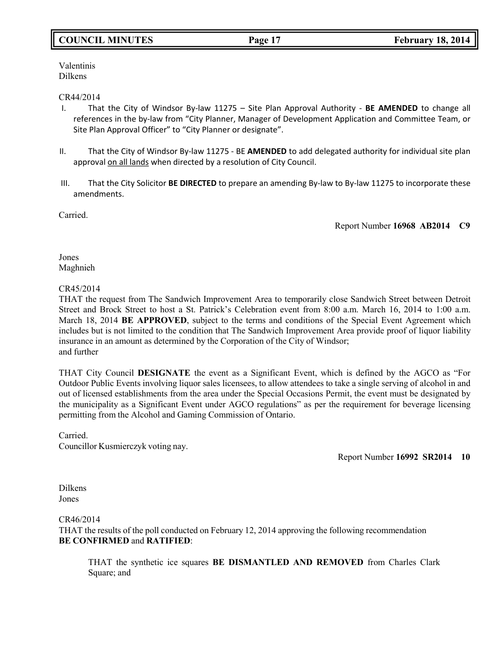# **COUNCIL MINUTES Page 17 February 18, 2014**

Valentinis Dilkens

## CR44/2014

- I. That the City of Windsor By-law 11275 Site Plan Approval Authority **BE AMENDED** to change all references in the by-law from "City Planner, Manager of Development Application and Committee Team, or Site Plan Approval Officer" to "City Planner or designate".
- II. That the City of Windsor By-law 11275 BE **AMENDED** to add delegated authority for individual site plan approval on all lands when directed by a resolution of City Council.
- III. That the City Solicitor **BE DIRECTED** to prepare an amending By-law to By-law 11275 to incorporate these amendments.

Carried.

Report Number **16968 AB2014 C9**

Jones Maghnieh

## CR45/2014

THAT the request from The Sandwich Improvement Area to temporarily close Sandwich Street between Detroit Street and Brock Street to host a St. Patrick's Celebration event from 8:00 a.m. March 16, 2014 to 1:00 a.m. March 18, 2014 **BE APPROVED**, subject to the terms and conditions of the Special Event Agreement which includes but is not limited to the condition that The Sandwich Improvement Area provide proof of liquor liability insurance in an amount as determined by the Corporation of the City of Windsor; and further

THAT City Council **DESIGNATE** the event as a Significant Event, which is defined by the AGCO as "For Outdoor Public Events involving liquor sales licensees, to allow attendees to take a single serving of alcohol in and out of licensed establishments from the area under the Special Occasions Permit, the event must be designated by the municipality as a Significant Event under AGCO regulations" as per the requirement for beverage licensing permitting from the Alcohol and Gaming Commission of Ontario.

Carried. Councillor Kusmierczyk voting nay.

Report Number **16992 SR2014 10**

Dilkens Jones

### CR46/2014

THAT the results of the poll conducted on February 12, 2014 approving the following recommendation **BE CONFIRMED** and **RATIFIED**:

THAT the synthetic ice squares **BE DISMANTLED AND REMOVED** from Charles Clark Square; and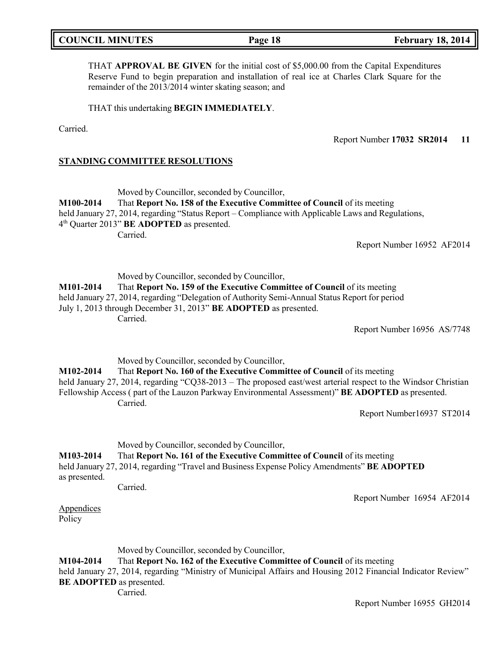| <b>COUNCIL MINUTES</b> | Page 18 | <b>February 18, 2014</b> |
|------------------------|---------|--------------------------|
|                        |         |                          |

THAT **APPROVAL BE GIVEN** for the initial cost of \$5,000.00 from the Capital Expenditures Reserve Fund to begin preparation and installation of real ice at Charles Clark Square for the remainder of the 2013/2014 winter skating season; and

THAT this undertaking **BEGIN IMMEDIATELY**.

Carried.

Report Number **17032 SR2014 11**

## **STANDING COMMITTEE RESOLUTIONS**

Moved by Councillor, seconded by Councillor,

**M100-2014** That **Report No. 158 of the Executive Committee of Council** of its meeting held January 27, 2014, regarding "Status Report – Compliance with Applicable Laws and Regulations, 4 th Quarter 2013" **BE ADOPTED** as presented. Carried.

Report Number 16952 AF2014

Moved by Councillor, seconded by Councillor,

**M101-2014** That **Report No. 159 of the Executive Committee of Council** of its meeting held January 27, 2014, regarding "Delegation of Authority Semi-Annual Status Report for period July 1, 2013 through December 31, 2013" **BE ADOPTED** as presented. Carried.

Report Number 16956 AS/7748

Moved by Councillor, seconded by Councillor,

**M102-2014** That **Report No. 160 of the Executive Committee of Council** of its meeting held January 27, 2014, regarding "CQ38-2013 – The proposed east/west arterial respect to the Windsor Christian Fellowship Access ( part of the Lauzon Parkway Environmental Assessment)" **BE ADOPTED** as presented. Carried.

Report Number16937 ST2014

Moved by Councillor, seconded by Councillor,

# **M103-2014** That **Report No. 161 of the Executive Committee of Council** of its meeting

held January 27, 2014, regarding "Travel and Business Expense Policy Amendments" **BE ADOPTED** as presented.

Carried.

Report Number 16954 AF2014

Appendices Policy

Moved by Councillor, seconded by Councillor,

**M104-2014** That **Report No. 162 of the Executive Committee of Council** of its meeting

held January 27, 2014, regarding "Ministry of Municipal Affairs and Housing 2012 Financial Indicator Review" **BE ADOPTED** as presented.

Carried.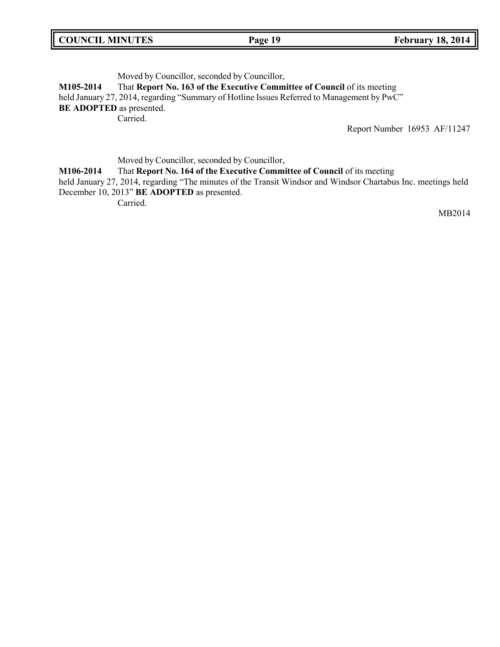| <b>COUNCIL MINUTES</b> | Page 19 | <b>February 18, 2014</b> |
|------------------------|---------|--------------------------|
|------------------------|---------|--------------------------|

Moved by Councillor, seconded by Councillor,

**M105-2014** That **Report No. 163 of the Executive Committee of Council** of its meeting

held January 27, 2014, regarding "Summary of Hotline Issues Referred to Management by PwC" **BE ADOPTED** as presented.

Carried.

Report Number 16953 AF/11247

Moved by Councillor, seconded by Councillor,

**M106-2014** That **Report No. 164 of the Executive Committee of Council** of its meeting

held January 27, 2014, regarding "The minutes of the Transit Windsor and Windsor Chartabus Inc. meetings held December 10, 2013" **BE ADOPTED** as presented.

Carried.

MB2014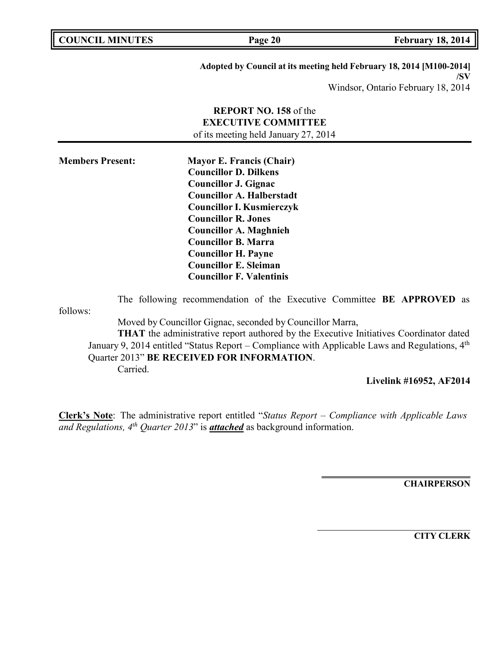| <b>COUNCIL MINUTES</b>  | Page 20                                                                                                                                                                                                                                                                                                                                                                                | <b>February 18, 2014</b>                                                    |
|-------------------------|----------------------------------------------------------------------------------------------------------------------------------------------------------------------------------------------------------------------------------------------------------------------------------------------------------------------------------------------------------------------------------------|-----------------------------------------------------------------------------|
|                         |                                                                                                                                                                                                                                                                                                                                                                                        | Adopted by Council at its meeting held February 18, 2014 [M100-2014]<br>/SV |
|                         |                                                                                                                                                                                                                                                                                                                                                                                        | Windsor, Ontario February 18, 2014                                          |
|                         | <b>REPORT NO. 158 of the</b><br><b>EXECUTIVE COMMITTEE</b><br>of its meeting held January 27, 2014                                                                                                                                                                                                                                                                                     |                                                                             |
| <b>Members Present:</b> | <b>Mayor E. Francis (Chair)</b><br><b>Councillor D. Dilkens</b><br><b>Councillor J. Gignac</b><br><b>Councillor A. Halberstadt</b><br><b>Councillor I. Kusmierczyk</b><br><b>Councillor R. Jones</b><br><b>Councillor A. Maghnieh</b><br><b>Councillor B. Marra</b><br><b>Councillor H. Payne</b><br><b>Councillor E. Sleiman</b><br><b>Councillor F. Valentinis</b>                   |                                                                             |
| follows:<br>Carried.    | The following recommendation of the Executive Committee BE APPROVED as<br>Moved by Councillor Gignac, seconded by Councillor Marra,<br><b>THAT</b> the administrative report authored by the Executive Initiatives Coordinator dated<br>January 9, 2014 entitled "Status Report – Compliance with Applicable Laws and Regulations, $4th$<br>Quarter 2013" BE RECEIVED FOR INFORMATION. |                                                                             |
|                         |                                                                                                                                                                                                                                                                                                                                                                                        | Livelink #16952, AF2014                                                     |

**Clerk's Note**: The administrative report entitled "*Status Report – Compliance with Applicable Laws and Regulations, 4th Quarter 2013*" is *attached* as background information.

**CHAIRPERSON**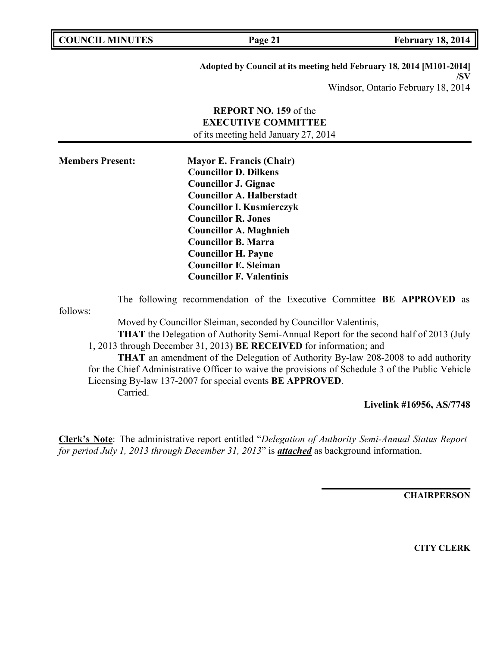| <b>COUNCIL MINUTES</b>  | Page 21                                                              | <b>February 18, 2014</b>           |
|-------------------------|----------------------------------------------------------------------|------------------------------------|
|                         | Adopted by Council at its meeting held February 18, 2014 [M101-2014] |                                    |
|                         |                                                                      | /SV                                |
|                         |                                                                      | Windsor, Ontario February 18, 2014 |
|                         | <b>REPORT NO. 159</b> of the                                         |                                    |
|                         | <b>EXECUTIVE COMMITTEE</b>                                           |                                    |
|                         | of its meeting held January 27, 2014                                 |                                    |
| <b>Members Present:</b> | <b>Mayor E. Francis (Chair)</b>                                      |                                    |
|                         | <b>Councillor D. Dilkens</b>                                         |                                    |
|                         | <b>Councillor J. Gignac</b>                                          |                                    |

**Councillor A. Halberstadt Councillor I. Kusmierczyk**

Moved by Councillor Sleiman, seconded by Councillor Valentinis,

1, 2013 through December 31, 2013) **BE RECEIVED** for information; and

Licensing By-law 137-2007 for special events **BE APPROVED**.

**Councillor R. Jones Councillor A. Maghnieh Councillor B. Marra Councillor H. Payne Councillor E. Sleiman Councillor F. Valentinis**

follows:

Carried.

## **Livelink #16956, AS/7748**

**Clerk's Note**: The administrative report entitled "*Delegation of Authority Semi-Annual Status Report for period July 1, 2013 through December 31, 2013*" is *attached* as background information.

The following recommendation of the Executive Committee **BE APPROVED** as

**THAT** the Delegation of Authority Semi-Annual Report for the second half of 2013 (July

**THAT** an amendment of the Delegation of Authority By-law 208-2008 to add authority

for the Chief Administrative Officer to waive the provisions of Schedule 3 of the Public Vehicle

**CHAIRPERSON**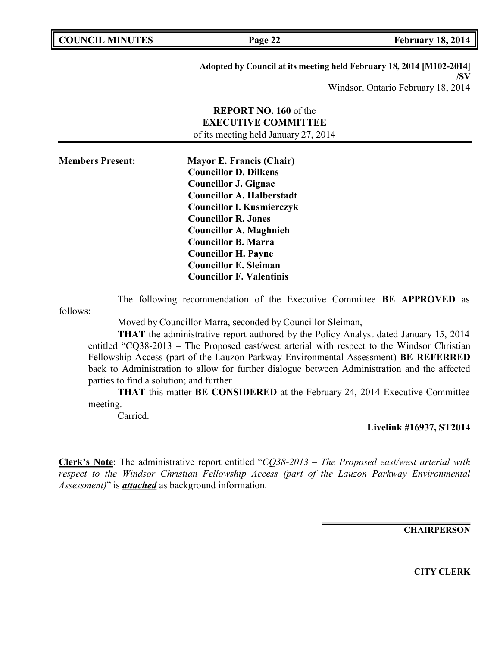**COUNCIL MINUTES Page 22 February 18, 2014**

**Adopted by Council at its meeting held February 18, 2014 [M102-2014] /SV**

Windsor, Ontario February 18, 2014

# **REPORT NO. 160** of the **EXECUTIVE COMMITTEE** of its meeting held January 27, 2014

| <b>Members Present:</b> | <b>Mayor E. Francis (Chair)</b>  |
|-------------------------|----------------------------------|
|                         | <b>Councillor D. Dilkens</b>     |
|                         | Councillor J. Gignac             |
|                         | <b>Councillor A. Halberstadt</b> |
|                         | <b>Councillor I. Kusmierczyk</b> |
|                         | <b>Councillor R. Jones</b>       |
|                         | <b>Councillor A. Maghnieh</b>    |
|                         | <b>Councillor B. Marra</b>       |
|                         | <b>Councillor H. Payne</b>       |
|                         | <b>Councillor E. Sleiman</b>     |
|                         | <b>Councillor F. Valentinis</b>  |

The following recommendation of the Executive Committee **BE APPROVED** as

follows:

Moved by Councillor Marra, seconded by Councillor Sleiman,

**THAT** the administrative report authored by the Policy Analyst dated January 15, 2014 entitled "CQ38-2013 – The Proposed east/west arterial with respect to the Windsor Christian Fellowship Access (part of the Lauzon Parkway Environmental Assessment) **BE REFERRED** back to Administration to allow for further dialogue between Administration and the affected parties to find a solution; and further

**THAT** this matter **BE CONSIDERED** at the February 24, 2014 Executive Committee meeting.

Carried.

**Livelink #16937, ST2014**

**Clerk's Note**: The administrative report entitled "*CQ38-2013 – The Proposed east/west arterial with respect to the Windsor Christian Fellowship Access (part of the Lauzon Parkway Environmental Assessment)*" is *attached* as background information.

**CHAIRPERSON**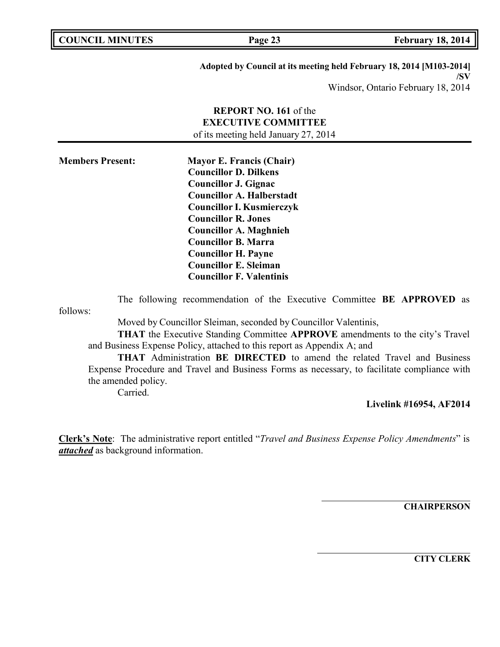**COUNCIL MINUTES Page 23 February 18, 2014**

**Adopted by Council at its meeting held February 18, 2014 [M103-2014] /SV**

Windsor, Ontario February 18, 2014

# **REPORT NO. 161** of the **EXECUTIVE COMMITTEE** of its meeting held January 27, 2014

| <b>Members Present:</b> | <b>Mayor E. Francis (Chair)</b>  |
|-------------------------|----------------------------------|
|                         | <b>Councillor D. Dilkens</b>     |
|                         | <b>Councillor J. Gignac</b>      |
|                         | <b>Councillor A. Halberstadt</b> |
|                         | <b>Councillor I. Kusmierczyk</b> |
|                         | <b>Councillor R. Jones</b>       |
|                         | <b>Councillor A. Maghnieh</b>    |
|                         | <b>Councillor B. Marra</b>       |
|                         | <b>Councillor H. Payne</b>       |
|                         | <b>Councillor E. Sleiman</b>     |
|                         | <b>Councillor F. Valentinis</b>  |

follows: The following recommendation of the Executive Committee **BE APPROVED** as

Moved by Councillor Sleiman, seconded by Councillor Valentinis,

**THAT** the Executive Standing Committee **APPROVE** amendments to the city's Travel and Business Expense Policy, attached to this report as Appendix A; and

**THAT** Administration **BE DIRECTED** to amend the related Travel and Business Expense Procedure and Travel and Business Forms as necessary, to facilitate compliance with the amended policy.

Carried.

## **Livelink #16954, AF2014**

**Clerk's Note**: The administrative report entitled "*Travel and Business Expense Policy Amendments*" is *attached* as background information.

**CHAIRPERSON**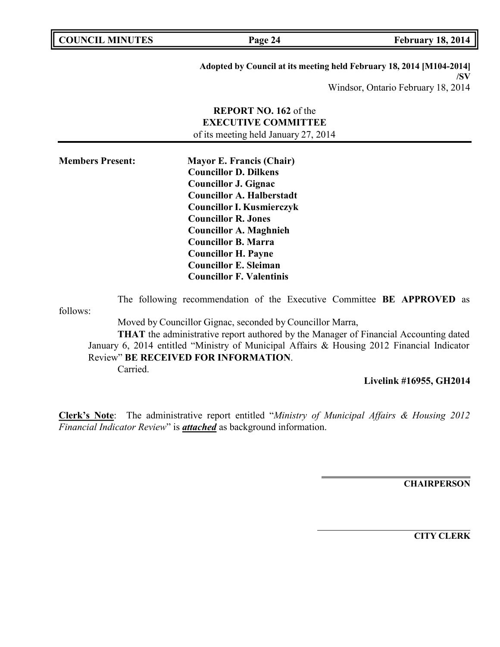| <b>COUNCIL MINUTES</b> | Page 24                                                                                                                                                                                                                                                                                                                                                                                                                      | <b>February 18, 2014</b> |
|------------------------|------------------------------------------------------------------------------------------------------------------------------------------------------------------------------------------------------------------------------------------------------------------------------------------------------------------------------------------------------------------------------------------------------------------------------|--------------------------|
|                        | $\mathbf{A} = \mathbf{A} + \mathbf{B} = \mathbf{A} + \mathbf{B} + \mathbf{A} + \mathbf{B} + \mathbf{B} + \mathbf{B} + \mathbf{B} + \mathbf{B} + \mathbf{B} + \mathbf{B} + \mathbf{B} + \mathbf{B} + \mathbf{B} + \mathbf{B} + \mathbf{B} + \mathbf{B} + \mathbf{B} + \mathbf{B} + \mathbf{B} + \mathbf{B} + \mathbf{B} + \mathbf{B} + \mathbf{B} + \mathbf{B} + \mathbf{B} + \mathbf{B} + \mathbf{B} + \mathbf{B} + \mathbf$ |                          |

**Adopted by Council at its meeting held February 18, 2014 [M104-2014]**

**/SV** Windsor, Ontario February 18, 2014

# **REPORT NO. 162** of the **EXECUTIVE COMMITTEE** of its meeting held January 27, 2014

| <b>Members Present:</b> | <b>Mayor E. Francis (Chair)</b>  |
|-------------------------|----------------------------------|
|                         | <b>Councillor D. Dilkens</b>     |
|                         | <b>Councillor J. Gignac</b>      |
|                         | <b>Councillor A. Halberstadt</b> |
|                         | <b>Councillor I. Kusmierczyk</b> |
|                         | <b>Councillor R. Jones</b>       |
|                         | <b>Councillor A. Maghnieh</b>    |
|                         | <b>Councillor B. Marra</b>       |
|                         | <b>Councillor H. Payne</b>       |
|                         | <b>Councillor E. Sleiman</b>     |
|                         | <b>Councillor F. Valentinis</b>  |

follows: The following recommendation of the Executive Committee **BE APPROVED** as

Moved by Councillor Gignac, seconded by Councillor Marra,

**THAT** the administrative report authored by the Manager of Financial Accounting dated January 6, 2014 entitled "Ministry of Municipal Affairs & Housing 2012 Financial Indicator Review" **BE RECEIVED FOR INFORMATION**. Carried.

**Livelink #16955, GH2014**

**Clerk's Note**: The administrative report entitled "*Ministry of Municipal Affairs & Housing 2012 Financial Indicator Review*" is *attached* as background information.

**CHAIRPERSON**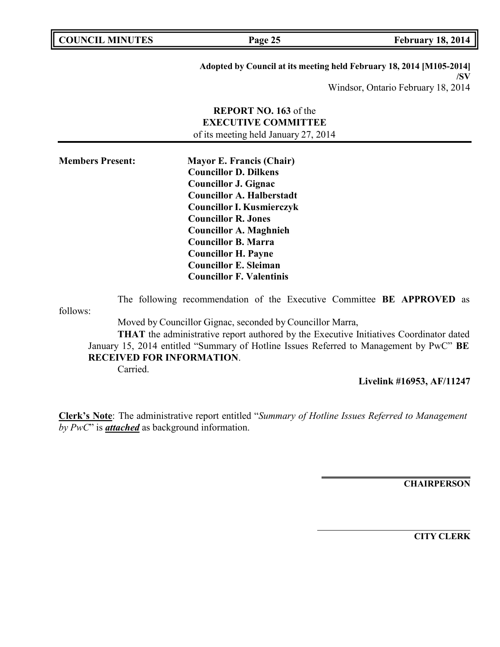| <b>COUNCIL MINUTES</b> | Page 25                                                              | <b>February 18, 2014</b> |
|------------------------|----------------------------------------------------------------------|--------------------------|
|                        |                                                                      |                          |
|                        | Adopted by Council at its meeting held February 18, 2014 [M105-2014] |                          |

**/SV** Windsor, Ontario February 18, 2014

# **REPORT NO. 163** of the **EXECUTIVE COMMITTEE** of its meeting held January 27, 2014

| <b>Members Present:</b> | <b>Mayor E. Francis (Chair)</b>  |  |
|-------------------------|----------------------------------|--|
|                         | <b>Councillor D. Dilkens</b>     |  |
|                         | <b>Councillor J. Gignac</b>      |  |
|                         | <b>Councillor A. Halberstadt</b> |  |
|                         | <b>Councillor I. Kusmierczyk</b> |  |
|                         | <b>Councillor R. Jones</b>       |  |
|                         | <b>Councillor A. Maghnieh</b>    |  |
|                         | <b>Councillor B. Marra</b>       |  |
|                         | <b>Councillor H. Payne</b>       |  |
|                         | <b>Councillor E. Sleiman</b>     |  |
|                         | <b>Councillor F. Valentinis</b>  |  |

follows: The following recommendation of the Executive Committee **BE APPROVED** as

Moved by Councillor Gignac, seconded by Councillor Marra,

**THAT** the administrative report authored by the Executive Initiatives Coordinator dated January 15, 2014 entitled "Summary of Hotline Issues Referred to Management by PwC" **BE RECEIVED FOR INFORMATION**.

Carried.

Б

**Livelink #16953, AF/11247**

**Clerk's Note**: The administrative report entitled "*Summary of Hotline Issues Referred to Management by PwC*" is *attached* as background information.

**CHAIRPERSON**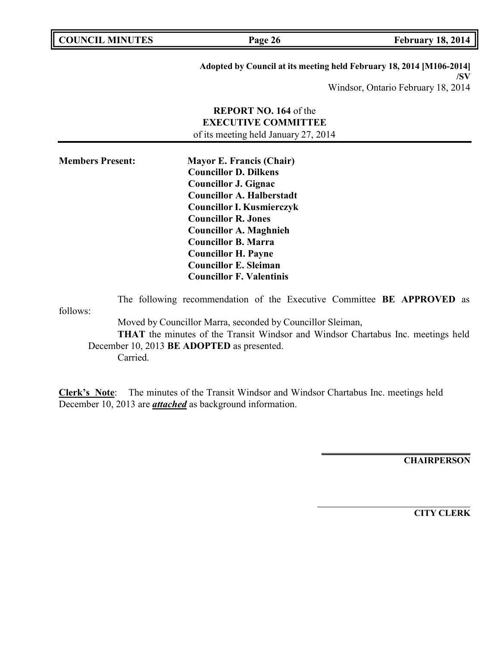| <b>COUNCIL MINUTES</b>  |          | Page 26                                                                                                                                                                                                                                                                                                                                                              | <b>February 18, 2014</b>                                                                                          |
|-------------------------|----------|----------------------------------------------------------------------------------------------------------------------------------------------------------------------------------------------------------------------------------------------------------------------------------------------------------------------------------------------------------------------|-------------------------------------------------------------------------------------------------------------------|
|                         |          |                                                                                                                                                                                                                                                                                                                                                                      | Adopted by Council at its meeting held February 18, 2014 [M106-2014]<br>/SV<br>Windsor, Ontario February 18, 2014 |
|                         |          | <b>REPORT NO. 164 of the</b><br><b>EXECUTIVE COMMITTEE</b><br>of its meeting held January 27, 2014                                                                                                                                                                                                                                                                   |                                                                                                                   |
| <b>Members Present:</b> |          | <b>Mayor E. Francis (Chair)</b><br><b>Councillor D. Dilkens</b><br><b>Councillor J. Gignac</b><br><b>Councillor A. Halberstadt</b><br><b>Councillor I. Kusmierczyk</b><br><b>Councillor R. Jones</b><br><b>Councillor A. Maghnieh</b><br><b>Councillor B. Marra</b><br><b>Councillor H. Payne</b><br><b>Councillor E. Sleiman</b><br><b>Councillor F. Valentinis</b> |                                                                                                                   |
| follows:                | Carried. | The following recommendation of the Executive Committee BE APPROVED as<br>Moved by Councillor Marra, seconded by Councillor Sleiman,<br>December 10, 2013 BE ADOPTED as presented.                                                                                                                                                                                   | THAT the minutes of the Transit Windsor and Windsor Chartabus Inc. meetings held                                  |

**Clerk's Note**: The minutes of the Transit Windsor and Windsor Chartabus Inc. meetings held December 10, 2013 are *attached* as background information.

**CHAIRPERSON**